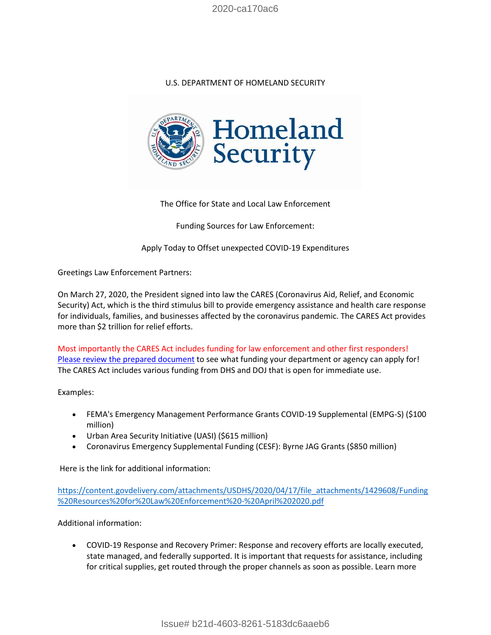2020-ca170ac6

## U.S. DEPARTMENT OF HOMELAND SECURITY



The Office for State and Local Law Enforcement

Funding Sources for Law Enforcement:

Apply Today to Offset unexpected COVID-19 Expenditures

Greetings Law Enforcement Partners:

On March 27, 2020, the President signed into law the CARES (Coronavirus Aid, Relief, and Economic Security) Act, which is the third stimulus bill to provide emergency assistance and health care response for individuals, families, and businesses affected by the coronavirus pandemic. The CARES Act provides more than \$2 trillion for relief efforts.

Most importantly the CARES Act includes funding for law enforcement and other first responders! [Please review the prepared document](https://lnks.gd/l/eyJhbGciOiJIUzI1NiJ9.eyJidWxsZXRpbl9saW5rX2lkIjoxMDAsInVyaSI6ImJwMjpjbGljayIsImJ1bGxldGluX2lkIjoiMjAyMDA0MTcuMjAyOTAzMDEiLCJ1cmwiOiJodHRwczovL2NvbnRlbnQuZ292ZGVsaXZlcnkuY29tL2F0dGFjaG1lbnRzL1VTREhTLzIwMjAvMDQvMTcvZmlsZV9hdHRhY2htZW50cy8xNDI5NjA4L0Z1bmRpbmclMjBSZXNvdXJjZXMlMjBmb3IlMjBMYXclMjBFbmZvcmNlbWVudCUyMC0lMjBBcHJpbCUyMDIwMjAucGRmIn0.jnX0r5HPsbGO3zmInu2mh00jdRxGhyCjnHmkzyDPEZE/br/77540481817-l) to see what funding your department or agency can apply for! The CARES Act includes various funding from DHS and DOJ that is open for immediate use.

Examples:

- FEMA's Emergency Management Performance Grants COVID-19 Supplemental (EMPG-S) (\$100 million)
- Urban Area Security Initiative (UASI) (\$615 million)
- Coronavirus Emergency Supplemental Funding (CESF): Byrne JAG Grants (\$850 million)

Here is the link for additional information:

[https://content.govdelivery.com/attachments/USDHS/2020/04/17/file\\_attachments/1429608/Funding](https://content.govdelivery.com/attachments/USDHS/2020/04/17/file_attachments/1429608/Funding%20Resources%20for%20Law%20Enforcement%20-%20April%202020.pdf) [%20Resources%20for%20Law%20Enforcement%20-%20April%202020.pdf](https://content.govdelivery.com/attachments/USDHS/2020/04/17/file_attachments/1429608/Funding%20Resources%20for%20Law%20Enforcement%20-%20April%202020.pdf)

Additional information:

 COVID-19 Response and Recovery Primer: Response and recovery efforts are locally executed, state managed, and federally supported. It is important that requests for assistance, including for critical supplies, get routed through the proper channels as soon as possible. Learn more